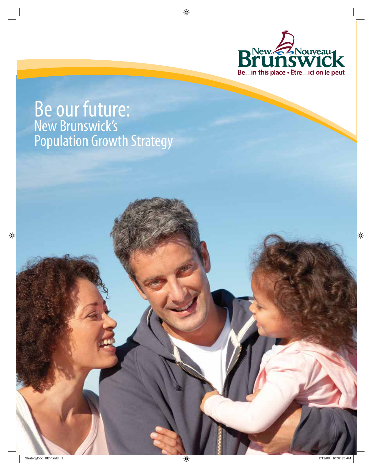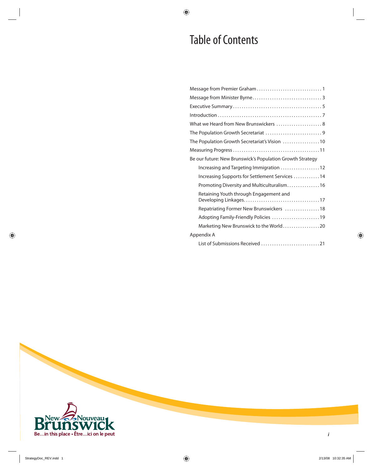## Table of Contents

| What we Heard from New Brunswickers  8                    |
|-----------------------------------------------------------|
|                                                           |
| The Population Growth Secretariat's Vision 10             |
|                                                           |
| Be our future: New Brunswick's Population Growth Strategy |
| Increasing and Targeting Immigration 12                   |
| Increasing Supports for Settlement Services  14           |
| Promoting Diversity and Multiculturalism16                |
| Retaining Youth through Engagement and                    |
| Repatriating Former New Brunswickers 18                   |
| Adopting Family-Friendly Policies 19                      |
| Marketing New Brunswick to the World20                    |
| Appendix A                                                |
|                                                           |

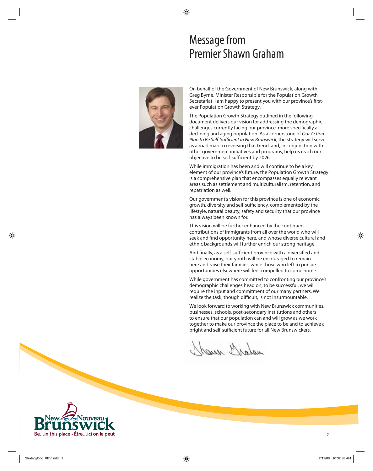### Message from Premier Shawn Graham



On behalf of the Government of New Brunswick, along with Greg Byrne, Minister Responsible for the Population Growth Secretariat, I am happy to present you with our province's firstever Population Growth Strategy.

The Population Growth Strategy outlined in the following document delivers our vision for addressing the demographic challenges currently facing our province, more specifically a declining and aging population. As a cornerstone of Our Action Plan to Be Self-Sufficient in New Brunswick, the strategy will serve as a road map to reversing that trend, and, in conjunction with other government initiatives and programs, help us reach our objective to be self-sufficient by 2026.

While immigration has been and will continue to be a key element of our province's future, the Population Growth Strategy is a comprehensive plan that encompasses equally relevant areas such as settlement and multiculturalism, retention, and repatriation as well.

Our government's vision for this province is one of economic growth, diversity and self-sufficiency, complemented by the lifestyle, natural beauty, safety and security that our province has always been known for.

This vision will be further enhanced by the continued contributions of immigrants from all over the world who will seek and find opportunity here, and whose diverse cultural and ethnic backgrounds will further enrich our strong heritage.

And finally, as a self-sufficient province with a diversified and stable economy, our youth will be encouraged to remain here and raise their families, while those who left to pursue opportunities elsewhere will feel compelled to come home.

While government has committed to confronting our province's demographic challenges head on, to be successful, we will require the input and commitment of our many partners. We realize the task, though difficult, is not insurmountable.

We look forward to working with New Brunswick communities, businesses, schools, post-secondary institutions and others to ensure that our population can and will grow as we work together to make our province the place to be and to achieve a bright and self-sufficient future for all New Brunswickers.

Hauen Draham

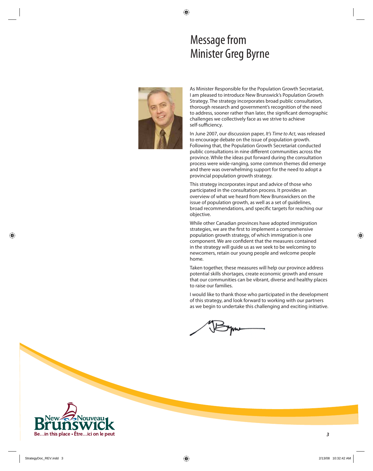### Message from Minister Greg Byrne



As Minister Responsible for the Population Growth Secretariat, I am pleased to introduce New Brunswick's Population Growth Strategy. The strategy incorporates broad public consultation, thorough research and government's recognition of the need to address, sooner rather than later, the significant demographic challenges we collectively face as we strive to achieve self-sufficiency.

In June 2007, our discussion paper, It's Time to Act, was released to encourage debate on the issue of population growth. Following that, the Population Growth Secretariat conducted public consultations in nine different communities across the province. While the ideas put forward during the consultation process were wide-ranging, some common themes did emerge and there was overwhelming support for the need to adopt a provincial population growth strategy.

This strategy incorporates input and advice of those who participated in the consultation process. It provides an overview of what we heard from New Brunswickers on the issue of population growth, as well as a set of guidelines, broad recommendations, and specific targets for reaching our objective.

While other Canadian provinces have adopted immigration strategies, we are the first to implement a comprehensive population growth strategy, of which immigration is one component. We are confident that the measures contained in the strategy will guide us as we seek to be welcoming to newcomers, retain our young people and welcome people home.

Taken together, these measures will help our province address potential skills shortages, create economic growth and ensure that our communities can be vibrant, diverse and healthy places to raise our families.

I would like to thank those who participated in the development of this strategy, and look forward to working with our partners as we begin to undertake this challenging and exciting initiative.

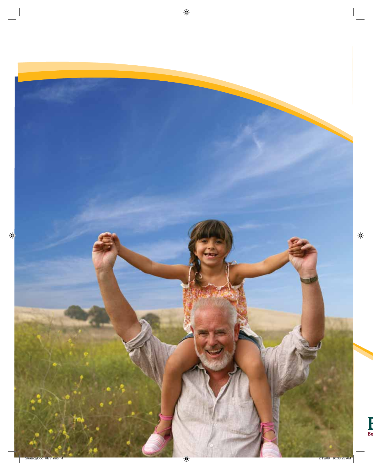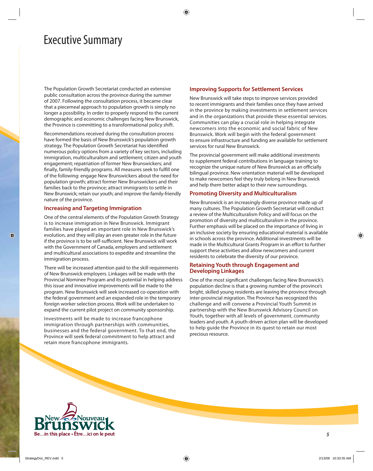### Executive Summary

The Population Growth Secretariat conducted an extensive public consultation across the province during the summer of 2007. Following the consultation process, it became clear that a piecemeal approach to population growth is simply no longer a possibility. In order to properly respond to the current demographic and economic challenges facing New Brunswick, the Province is committing to a transformational policy shift.

Recommendations received during the consultation process have formed the basis of New Brunswick's population growth strategy. The Population Growth Secretariat has identified numerous policy options from a variety of key sectors, including immigration, multiculturalism and settlement; citizen and youth engagement; repatriation of former New Brunswickers; and finally, family-friendly programs. All measures seek to fulfill one of the following: engage New Brunswickers about the need for population growth; attract former New Brunswickers and their families back to the province; attract immigrants to settle in New Brunswick; retain our youth; and improve the family-friendly nature of the province.

#### **Increasing and Targeting Immigration**

One of the central elements of the Population Growth Strategy is to increase immigration in New Brunswick. Immigrant families have played an important role in New Brunswick's evolution, and they will play an even greater role in the future if the province is to be self-sufficient. New Brunswick will work with the Government of Canada, employers and settlement and multicultural associations to expedite and streamline the immigration process.

There will be increased attention paid to the skill requirements of New Brunswick employers. Linkages will be made with the Provincial Nominee Program and its potential in helping address this issue and innovative improvements will be made to the program. New Brunswick will seek increased co-operation with the federal government and an expanded role in the temporary foreign worker selection process. Work will be undertaken to expand the current pilot project on community sponsorship.

Investments will be made to increase francophone immigration through partnerships with communities, businesses and the federal government. To that end, the Province will seek federal commitment to help attract and retain more francophone immigrants.

#### **Improving Supports for Settlement Services**

New Brunswick will take steps to improve services provided to recent immigrants and their families once they have arrived in the province by making investments in settlement services and in the organizations that provide these essential services. Communities can play a crucial role in helping integrate newcomers into the economic and social fabric of New Brunswick. Work will begin with the federal government to ensure infrastructure and funding are available for settlement services for rural New Brunswick.

The provincial government will make additional investments to supplement federal contributions in language training to recognize the unique nature of New Brunswick as an officially bilingual province. New orientation material will be developed to make newcomers feel they truly belong in New Brunswick and help them better adapt to their new surroundings.

#### **Promoting Diversity and Multiculturalism**

New Brunswick is an increasingly diverse province made up of many cultures. The Population Growth Secretariat will conduct a review of the Multiculturalism Policy and will focus on the promotion of diversity and multiculturalism in the province. Further emphasis will be placed on the importance of living in an inclusive society by ensuring educational material is available in schools across the province. Additional investments will be made in the Multicultural Grants Program in an effort to further support these activities and allow newcomers and current residents to celebrate the diversity of our province.

#### **Retaining Youth through Engagement and Developing Linkages**

One of the most significant challenges facing New Brunswick's population decline is that a growing number of the province's bright, skilled young residents are leaving the province through inter-provincial migration. The Province has recognized this challenge and will convene a Provincial Youth Summit in partnership with the New Brunswick Advisory Council on Youth, together with all levels of government, community leaders and youth. A youth-driven action plan will be developed to help guide the Province in its quest to retain our most precious resource.

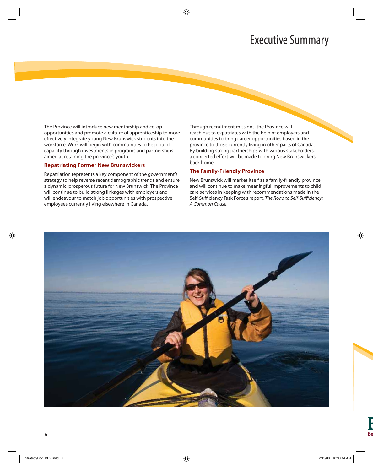### Executive Summary

The Province will introduce new mentorship and co-op opportunities and promote a culture of apprenticeship to more effectively integrate young New Brunswick students into the workforce. Work will begin with communities to help build capacity through investments in programs and partnerships aimed at retaining the province's youth.

#### **Repatriating Former New Brunswickers**

Repatriation represents a key component of the government's strategy to help reverse recent demographic trends and ensure a dynamic, prosperous future for New Brunswick. The Province will continue to build strong linkages with employers and will endeavour to match job opportunities with prospective employees currently living elsewhere in Canada.

Through recruitment missions, the Province will reach out to expatriates with the help of employers and communities to bring career opportunities based in the province to those currently living in other parts of Canada. By building strong partnerships with various stakeholders, a concerted effort will be made to bring New Brunswickers back home.

#### **The Family-Friendly Province**

New Brunswick will market itself as a family-friendly province, and will continue to make meaningful improvements to child care services in keeping with recommendations made in the Self-Sufficiency Task Force's report, The Road to Self-Sufficiency: A Common Cause.

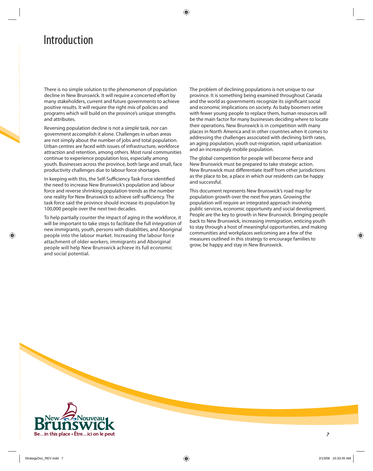### Introduction

There is no simple solution to the phenomenon of population decline in New Brunswick. It will require a concerted effort by many stakeholders, current and future governments to achieve positive results. It will require the right mix of policies and programs which will build on the province's unique strengths and attributes.

Reversing population decline is not a simple task, nor can government accomplish it alone. Challenges in urban areas are not simply about the number of jobs and total population. Urban centres are faced with issues of infrastructure, workforce attraction and retention, among others. Most rural communities continue to experience population loss, especially among youth. Businesses across the province, both large and small, face productivity challenges due to labour force shortages.

In keeping with this, the Self-Sufficiency Task Force identified the need to increase New Brunswick's population and labour force and reverse shrinking population trends as the number one reality for New Brunswick to achieve self-sufficiency. The task force said the province should increase its population by 100,000 people over the next two decades.

To help partially counter the impact of aging in the workforce, it will be important to take steps to facilitate the full integration of new immigrants, youth, persons with disabilities, and Aboriginal people into the labour market. Increasing the labour force attachment of older workers, immigrants and Aboriginal people will help New Brunswick achieve its full economic and social potential.

The problem of declining populations is not unique to our province. It is something being examined throughout Canada and the world as governments recognize its significant social and economic implications on society. As baby boomers retire with fewer young people to replace them, human resources will be the main factor for many businesses deciding where to locate their operations. New Brunswick is in competition with many places in North America and in other countries when it comes to addressing the challenges associated with declining birth rates, an aging population, youth out-migration, rapid urbanization and an increasingly mobile population.

The global competition for people will become fierce and New Brunswick must be prepared to take strategic action. New Brunswick must differentiate itself from other jurisdictions as the place to be, a place in which our residents can be happy and successful.

This document represents New Brunswick's road map for population growth over the next five years. Growing the population will require an integrated approach involving public services, economic opportunity and social development. People are the key to growth in New Brunswick. Bringing people back to New Brunswick, increasing immigration, enticing youth to stay through a host of meaningful opportunities, and making communities and workplaces welcoming are a few of the measures outlined in this strategy to encourage families to grow, be happy and stay in New Brunswick.

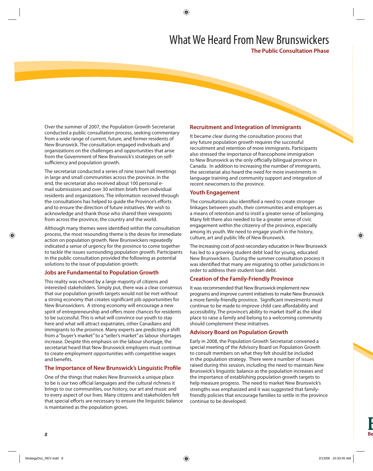### What We Heard From New Brunswickers

**The Public Consultation Phase**

Over the summer of 2007, the Population Growth Secretariat conducted a public consultation process, seeking commentary from a wide range of current, future, and former residents of New Brunswick. The consultation engaged individuals and organizations on the challenges and opportunities that arise from the Government of New Brunswick's strategies on selfsufficiency and population growth.

The secretariat conducted a series of nine town hall meetings in large and small communities across the province. In the end, the secretariat also received about 100 personal email submissions and over 30 written briefs from individual residents and organizations. The information received through the consultations has helped to guide the Province's efforts and to ensure the direction of future initiatives. We wish to acknowledge and thank those who shared their viewpoints from across the province, the country and the world.

Although many themes were identified within the consultation process, the most resounding theme is the desire for immediate action on population growth. New Brunswickers repeatedly indicated a sense of urgency for the province to come together to tackle the issues surrounding population growth. Participants in the public consultation provided the following as potential solutions to the issue of population growth:

#### **Jobs are Fundamental to Population Growth**

This reality was echoed by a large majority of citizens and interested stakeholders. Simply put, there was a clear consensus that our population growth targets would not be met without a strong economy that creates significant job opportunities for New Brunswickers. A strong economy will encourage a new spirit of entrepreneurship and offers more chances for residents to be successful. This is what will convince our youth to stay here and what will attract expatriates, other Canadians and immigrants to the province. Many experts are predicting a shift from a "buyer's market" to a "seller's market" as labour shortages increase. Despite this emphasis on the labour shortage, the secretariat heard that New Brunswick employers must continue to create employment opportunities with competitive wages and benefits.

#### **The Importance of New Brunswick's Linguistic Profile**

One of the things that makes New Brunswick a unique place to be is our two official languages and the cultural richness it brings to our communities, our history, our art and music and to every aspect of our lives. Many citizens and stakeholders felt that special efforts are necessary to ensure the linguistic balance is maintained as the population grows.

#### **Recruitment and Integration of Immigrants**

It became clear during the consultation process that any future population growth requires the successful recruitment and retention of more immigrants. Participants also stressed the importance of francophone immigration to New Brunswick as the only officially bilingual province in Canada. In addition to increasing the number of immigrants, the secretariat also heard the need for more investments in language training and community support and integration of recent newcomers to the province.

#### **Youth Engagement**

The consultations also identified a need to create stronger linkages between youth, their communities and employers as a means of retention and to instil a greater sense of belonging. Many felt there also needed to be a greater sense of civic engagement within the citizenry of the province, especially among its youth. We need to engage youth in the history, culture, art and public life of New Brunswick.

The increasing cost of post-secondary education in New Brunswick has led to a growing student debt load for young, educated New Brunswickers. During the summer consultation process it was identified that many are migrating to other jurisdictions in order to address their student loan debt.

#### **Creation of the Family-Friendly Province**

It was recommended that New Brunswick implement new programs and improve current initiatives to make New Brunswick a more family-friendly province. Significant investments must continue to be made to improve child care affordability and accessibility. The province's ability to market itself as the ideal place to raise a family and belong to a welcoming community should complement these initiatives.

#### **Advisory Board on Population Growth**

Early in 2008, the Population Growth Secretariat convened a special meeting of the Advisory Board on Population Growth to consult members on what they felt should be included in the population strategy. There were a number of issues raised during this session, including the need to maintain New Brunswick's linguistic balance as the population increases and the importance of establishing population growth targets to help measure progress. The need to market New Brunswick's strengths was emphasized and it was suggested that familyfriendly policies that encourage families to settle in the province continue to be developed.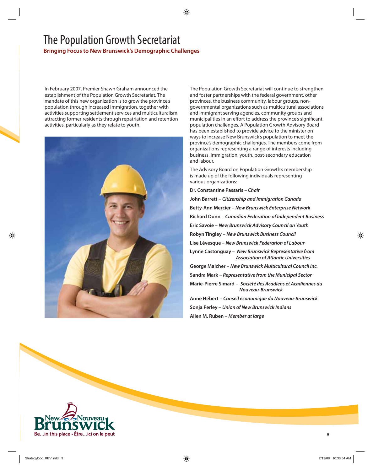### The Population Growth Secretariat **Bringing Focus to New Brunswick's Demographic Challenges**

In February 2007, Premier Shawn Graham announced the establishment of the Population Growth Secretariat. The mandate of this new organization is to grow the province's population through increased immigration, together with activities supporting settlement services and multiculturalism, attracting former residents through repatriation and retention activities, particularly as they relate to youth.



The Population Growth Secretariat will continue to strengthen and foster partnerships with the federal government, other provinces, the business community, labour groups, nongovernmental organizations such as multicultural associations and immigrant serving agencies, community groups and municipalities in an effort to address the province's significant population challenges. A Population Growth Advisory Board has been established to provide advice to the minister on ways to increase New Brunswick's population to meet the province's demographic challenges. The members come from organizations representing a range of interests including business, immigration, youth, post-secondary education and labour.

The Advisory Board on Population Growth's membership is made up of the following individuals representing various organizations:

**Dr. Constantine Passaris** – *Chair* **John Barrett** – *Citizenship and Immigration Canada* **Betty-Ann Mercier** – *New Brunswick Enterprise Network* **Richard Dunn** – *Canadian Federation of Independent Business* **Eric Savoie** – *New Brunswick Advisory Council on Youth*  **Robyn Tingley** – *New Brunswick Business Council* **Lise Lévesque** – *New Brunswick Federation of Labour*  **Lynne Castonguay** – *New Brunswick Representative from Association of Atlantic Universities* **George Maicher** – *New Brunswick Multicultural Council Inc.* **Sandra Mark** – *Representative from the Municipal Sector* **Marie-Pierre Simard** – *Société des Acadiens et Acadiennes du Nouveau-Brunswick* **Anne Hébert** – *Conseil économique du Nouveau-Brunswick* **Sonja Perley** – *Union of New Brunswick Indians*  **Allen M. Ruben** – *Member at large*

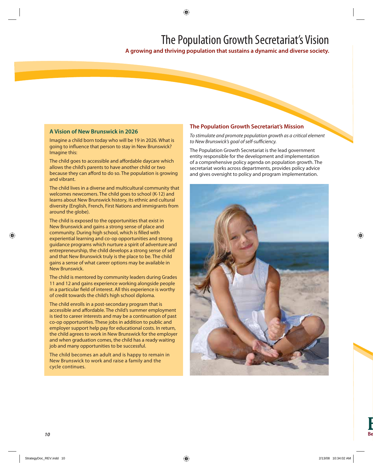### The Population Growth Secretariat's Vision

**A growing and thriving population that sustains a dynamic and diverse society.**

#### **A Vision of New Brunswick in 2026**

Imagine a child born today who will be 19 in 2026. What is going to influence that person to stay in New Brunswick? Imagine this:

The child goes to accessible and affordable daycare which allows the child's parents to have another child or two because they can afford to do so. The population is growing and vibrant.

The child lives in a diverse and multicultural community that welcomes newcomers. The child goes to school (K-12) and learns about New Brunswick history, its ethnic and cultural diversity (English, French, First Nations and immigrants from around the globe).

The child is exposed to the opportunities that exist in New Brunswick and gains a strong sense of place and community. During high school, which is filled with experiential learning and co-op opportunities and strong guidance programs which nurture a spirit of adventure and entrepreneurship, the child develops a strong sense of self and that New Brunswick truly is the place to be. The child gains a sense of what career options may be available in New Brunswick.

The child is mentored by community leaders during Grades 11 and 12 and gains experience working alongside people in a particular field of interest. All this experience is worthy of credit towards the child's high school diploma.

The child enrolls in a post-secondary program that is accessible and affordable. The child's summer employment is tied to career interests and may be a continuation of past co-op opportunities. These jobs in addition to public and employer support help pay for educational costs. In return, the child agrees to work in New Brunswick for the employer and when graduation comes, the child has a ready waiting job and many opportunities to be successful.

The child becomes an adult and is happy to remain in New Brunswick to work and raise a family and the cycle continues.

#### **The Population Growth Secretariat's Mission**

To stimulate and promote population growth as a critical element to New Brunswick's goal of self-sufficiency.

The Population Growth Secretariat is the lead government entity responsible for the development and implementation of a comprehensive policy agenda on population growth. The secretariat works across departments, provides policy advice and gives oversight to policy and program implementation.

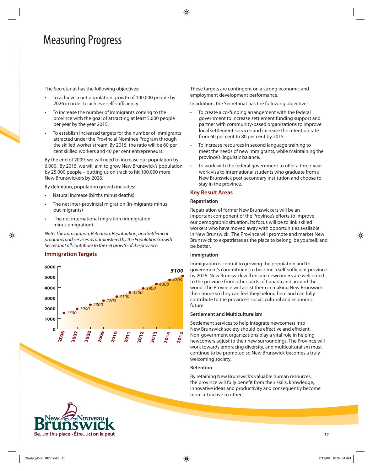### Measuring Progress

The Secretariat has the following objectives:

- To achieve a net population growth of 100,000 people by 2026 in order to achieve self-sufficiency.
- To increase the number of immigrants coming to the province with the goal of attracting at least 5,000 people per year by the year 2015.
- To establish increased targets for the number of immigrants attracted under the Provincial Nominee Program through the skilled worker stream. By 2015, the ratio will be 60 per cent skilled workers and 40 per cent entrepreneurs.

By the end of 2009, we will need to increase our population by 6,000. By 2015, we will aim to grow New Brunswick's population by 25,000 people – putting us on track to hit 100,000 more New Brunswickers by 2026.

By definition, population growth includes:

- Natural increase (births minus deaths)
- The net inter-provincial migration (in-migrants minus out-migrants)
- The net international migration (immigration minus emigration)

Note: The Immigration, Retention, Repatriation, and Settlement programs and services as administered by the Population Growth Secretariat all contribute to the net growth of the province.

#### **Immigration Targets**





These targets are contingent on a strong economic and employment development performance.

In addition, the Secretariat has the following objectives:

- To create a co-funding arrangement with the federal government to increase settlement funding support and partner with community-based organizations to improve local settlement services and increase the retention rate from 60 per cent to 80 per cent by 2015.
- To increase resources in second language training to meet the needs of new immigrants, while maintaining the province's linguistic balance.
- To work with the federal government to offer a three-year work visa to international students who graduate from a New Brunswick post-secondary institution and choose to stay in the province.

#### **Key Result Areas**

#### **Repatriation**

Repatriation of former New Brunswickers will be an important component of the Province's efforts to improve our demographic situation. Its focus will be to link skilled workers who have moved away with opportunities available in New Brunswick. The Province will promote and market New Brunswick to expatriates as the place to belong, be yourself, and be better.

#### **Immigration**

Immigration is central to growing the population and to government's commitment to become a self-sufficient province by 2026. New Brunswick will ensure newcomers are welcomed to the province from other parts of Canada and around the world. The Province will assist them in making New Brunswick their home so they can feel they belong here and can fully contribute to the province's social, cultural and economic future.

#### **Settlement and Multiculturalism**

Settlement services to help integrate newcomers into New Brunswick society should be effective and efficient. Non-government organizations play a vital role in helping newcomers adjust to their new surroundings. The Province will work towards embracing diversity, and multiculturalism must continue to be promoted so New Brunswick becomes a truly welcoming society.

#### **Retention**

By retaining New Brunswick's valuable human resources, the province will fully benefit from their skills, knowledge, innovative ideas and productivity and consequently become more attractive to others.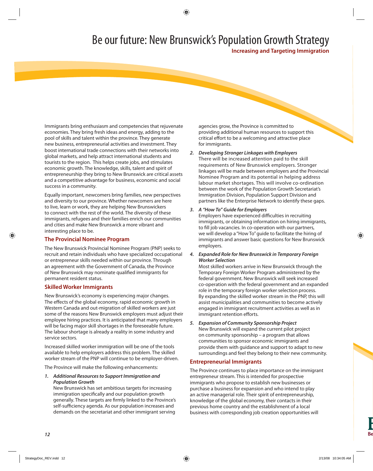**Increasing and Targeting Immigration**

Immigrants bring enthusiasm and competencies that rejuvenate economies. They bring fresh ideas and energy, adding to the pool of skills and talent within the province. They generate new business, entrepreneurial activities and investment. They boost international trade connections with their networks into global markets, and help attract international students and tourists to the region. This helps create jobs, and stimulates economic growth. The knowledge, skills, talent and spirit of entrepreneurship they bring to New Brunswick are critical assets and a competitive advantage for business, economic and social success in a community.

Equally important, newcomers bring families, new perspectives and diversity to our province. Whether newcomers are here to live, learn or work, they are helping New Brunswickers to connect with the rest of the world. The diversity of these immigrants, refugees and their families enrich our communities and cities and make New Brunswick a more vibrant and interesting place to be.

#### **The Provincial Nominee Program**

The New Brunswick Provincial Nominee Program (PNP) seeks to recruit and retain individuals who have specialized occupational or entrepreneur skills needed within our province. Through an agreement with the Government of Canada, the Province of New Brunswick may nominate qualified immigrants for permanent resident status.

#### **Skilled Worker Immigrants**

New Brunswick's economy is experiencing major changes. The effects of the global economy, rapid economic growth in Western Canada and out-migration of skilled workers are just some of the reasons New Brunswick employers must adjust their employee hiring practices. It is anticipated that many employers will be facing major skill shortages in the foreseeable future. The labour shortage is already a reality in some industry and service sectors.

Increased skilled worker immigration will be one of the tools available to help employers address this problem. The skilled worker stream of the PNP will continue to be employer-driven.

The Province will make the following enhancements:

*1. Additional Resources to Support Immigration and Population Growth* 

New Brunswick has set ambitious targets for increasing immigration specifically and our population growth generally. These targets are firmly linked to the Province's self-sufficiency agenda. As our population increases and demands on the secretariat and other immigrant serving

agencies grow, the Province is committed to providing additional human resources to support this critical effort to be a welcoming and attractive place for immigrants.

*2. Developing Stronger Linkages with Employers* There will be increased attention paid to the skill requirements of New Brunswick employers. Stronger linkages will be made between employers and the Provincial Nominee Program and its potential in helping address labour market shortages. This will involve co-ordination between the work of the Population Growth Secretariat's Immigration Division, Population Support Division and partners like the Enterprise Network to identify these gaps.

#### *3. A "How To" Guide for Employers*

Employers have experienced difficulties in recruiting immigrants, or obtaining information on hiring immigrants, to fill job vacancies. In co-operation with our partners, we will develop a "How To" guide to facilitate the hiring of immigrants and answer basic questions for New Brunswick employers.

*4. Expanded Role for New Brunswick in Temporary Foreign Worker Selection*

Most skilled workers arrive in New Brunswick through the Temporary Foreign Worker Program administered by the federal government. New Brunswick will seek increased co-operation with the federal government and an expanded role in the temporary foreign worker selection process. By expanding the skilled worker stream in the PNP, this will assist municipalities and communities to become actively engaged in immigrant recruitment activities as well as in immigrant retention efforts.

*5. Expansion of Community Sponsorship Project* New Brunswick will expand the current pilot project on community sponsorship – a program that allows communities to sponsor economic immigrants and provide them with guidance and support to adapt to new surroundings and feel they belong to their new community.

#### **Entrepreneurial Immigrants**

The Province continues to place importance on the immigrant entrepreneur stream. This is intended for prospective immigrants who propose to establish new businesses or purchase a business for expansion and who intend to play an active managerial role. Their spirit of entrepreneurship, knowledge of the global economy, their contacts in their previous home country and the establishment of a local business with corresponding job creation opportunities will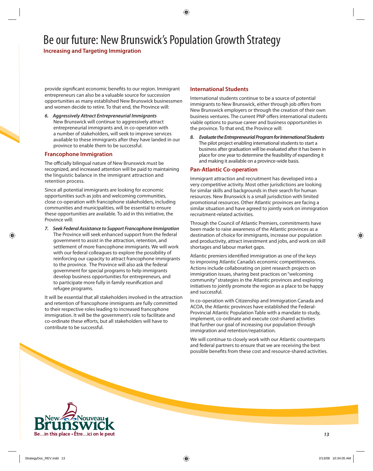**Increasing and Targeting Immigration**

provide significant economic benefits to our region. Immigrant entrepreneurs can also be a valuable source for succession opportunities as many established New Brunswick businessmen and women decide to retire. To that end, the Province will:

*6. Aggressively Attract Entrepreneurial Immigrants* New Brunswick will continue to aggressively attract entrepreneurial immigrants and, in co-operation with a number of stakeholders, will seek to improve services available to these immigrants after they have landed in our province to enable them to be successful.

#### **Francophone Immigration**

The officially bilingual nature of New Brunswick must be recognized, and increased attention will be paid to maintaining the linguistic balance in the immigrant attraction and retention process.

Since all potential immigrants are looking for economic opportunities such as jobs and welcoming communities, close co-operation with francophone stakeholders, including communities and municipalities, will be essential to ensure these opportunities are available. To aid in this initiative, the Province will:

*7. Seek Federal Assistance to Support Francophone Immigration* The Province will seek enhanced support from the federal government to assist in the attraction, retention, and settlement of more francophone immigrants. We will work with our federal colleagues to explore the possibility of reinforcing our capacity to attract francophone immigrants to the province. The Province will also ask the federal government for special programs to help immigrants develop business opportunities for entrepreneurs, and to participate more fully in family reunification and refugee programs.

It will be essential that all stakeholders involved in the attraction and retention of francophone immigrants are fully committed to their respective roles leading to increased francophone immigration. It will be the government's role to facilitate and co-ordinate these efforts, but all stakeholders will have to contribute to be successful.

#### **International Students**

International students continue to be a source of potential immigrants to New Brunswick, either through job offers from New Brunswick employers or through the creation of their own business ventures. The current PNP offers international students viable options to pursue career and business opportunities in the province. To that end, the Province will:

*8. Evaluate the Entrepreneurial Program for International Students* The pilot project enabling international students to start a business after graduation will be evaluated after it has been in place for one year to determine the feasibility of expanding it and making it available on a province-wide basis.

#### **Pan-Atlantic Co-operation**

Immigrant attraction and recruitment has developed into a very competitive activity. Most other jurisdictions are looking for similar skills and backgrounds in their search for human resources. New Brunswick is a small jurisdiction with limited promotional resources. Other Atlantic provinces are facing a similar situation and have agreed to jointly work on immigration recruitment-related activities.

Through the Council of Atlantic Premiers, commitments have been made to raise awareness of the Atlantic provinces as a destination of choice for immigrants, increase our population and productivity, attract investment and jobs, and work on skill shortages and labour market gaps.

Atlantic premiers identified immigration as one of the keys to improving Atlantic Canada's economic competitiveness. Actions include collaborating on joint research projects on immigration issues, sharing best practices on "welcoming community" strategies in the Atlantic provinces and exploring initiatives to jointly promote the region as a place to be happy and successful.

In co-operation with Citizenship and Immigration Canada and ACOA, the Atlantic provinces have established the Federal-Provincial Atlantic Population Table with a mandate to study, implement, co-ordinate and execute cost-shared activities that further our goal of increasing our population through immigration and retention/repatriation.

We will continue to closely work with our Atlantic counterparts and federal partners to ensure that we are receiving the best possible benefits from these cost and resource-shared activities.

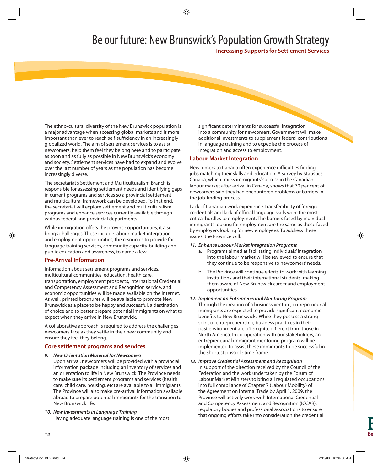**Increasing Supports for Settlement Services**

The ethno-cultural diversity of the New Brunswick population is a major advantage when accessing global markets and is more important than ever to reach self-sufficiency in an increasingly globalized world. The aim of settlement services is to assist newcomers, help them feel they belong here and to participate as soon and as fully as possible in New Brunswick's economy and society. Settlement services have had to expand and evolve over the last number of years as the population has become increasingly diverse.

The secretariat's Settlement and Multiculturalism Branch is responsible for assessing settlement needs and identifying gaps in current programs and services so a provincial settlement and multicultural framework can be developed. To that end, the secretariat will explore settlement and multiculturalism programs and enhance services currently available through various federal and provincial departments.

While immigration offers the province opportunities, it also brings challenges. These include labour market integration and employment opportunities, the resources to provide for language training services, community capacity-building and public education and awareness, to name a few.

#### **Pre-Arrival Information**

Information about settlement programs and services, multicultural communities, education, health care, transportation, employment prospects, International Credential and Competency Assessment and Recognition service, and economic opportunities will be made available on the Internet. As well, printed brochures will be available to promote New Brunswick as a place to be happy and successful, a destination of choice and to better prepare potential immigrants on what to expect when they arrive in New Brunswick.

A collaborative approach is required to address the challenges newcomers face as they settle in their new community and ensure they feel they belong.

#### **Core settlement programs and services**

- *9. New Orientation Material for Newcomers*
	- Upon arrival, newcomers will be provided with a provincial information package including an inventory of services and an orientation to life in New Brunswick. The Province needs to make sure its settlement programs and services (health care, child care, housing, etc) are available to all immigrants. The Province will also make pre-arrival information available abroad to prepare potential immigrants for the transition to New Brunswick life.
- *10. New Investments in Language Training* Having adequate language training is one of the most

significant determinants for successful integration into a community for newcomers. Government will make additional investments to supplement federal contributions in language training and to expedite the process of integration and access to employment.

#### **Labour Market Integration**

Newcomers to Canada often experience difficulties finding jobs matching their skills and education. A survey by Statistics Canada, which tracks immigrants' success in the Canadian labour market after arrival in Canada, shows that 70 per cent of newcomers said they had encountered problems or barriers in the job-finding process.

Lack of Canadian work experience, transferability of foreign credentials and lack of official language skills were the most critical hurdles to employment. The barriers faced by individual immigrants looking for employment are the same as those faced by employers looking for new employees. To address these issues, the Province will:

#### *11. Enhance Labour Market Integration Programs*

- a. Programs aimed at facilitating individuals' integration into the labour market will be reviewed to ensure that they continue to be responsive to newcomers' needs.
- b. The Province will continue efforts to work with learning institutions and their international students, making them aware of New Brunswick career and employment opportunities.

#### *12. Implement an Entrepreneurial Mentoring Program*

Through the creation of a business venture, entrepreneurial immigrants are expected to provide significant economic benefits to New Brunswick. While they possess a strong spirit of entrepreneurship, business practices in their past environment are often quite different from those in North America. In co-operation with our stakeholders, an entrepreneurial immigrant mentoring program will be implemented to assist these immigrants to be successful in the shortest possible time frame.

#### *13. Improve Credential Assessment and Recognition*

In support of the direction received by the Council of the Federation and the work undertaken by the Forum of Labour Market Ministers to bring all regulated occupations into full compliance of Chapter 7 (Labour Mobility) of the Agreement on Internal Trade by April 1, 2009, the Province will actively work with International Credential and Competency Assessment and Recognition (ICCAR), regulatory bodies and professional associations to ensure that ongoing efforts take into consideration the credential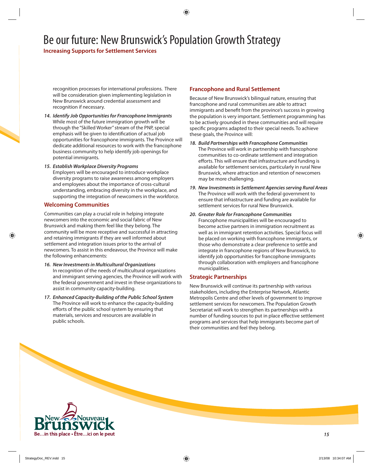**Increasing Supports for Settlement Services**

recognition processes for international professions. There will be consideration given implementing legislation in New Brunswick around credential assessment and recognition if necessary.

- *14. Identify Job Opportunities for Francophone Immigrants* While most of the future immigration growth will be through the "Skilled Worker" stream of the PNP, special emphasis will be given to identification of actual job opportunities for francophone immigrants. The Province will dedicate additional resources to work with the francophone business community to help identify job openings for potential immigrants.
- *15. Establish Workplace Diversity Programs*

Employers will be encouraged to introduce workplace diversity programs to raise awareness among employers and employees about the importance of cross-cultural understanding, embracing diversity in the workplace, and supporting the integration of newcomers in the workforce.

#### **Welcoming Communities**

Communities can play a crucial role in helping integrate newcomers into the economic and social fabric of New Brunswick and making them feel like they belong. The community will be more receptive and successful in attracting and retaining immigrants if they are well informed about settlement and integration issues prior to the arrival of newcomers. To assist in this endeavour, the Province will make the following enhancements:

- *16. New Investments in Multicultural Organizations* In recognition of the needs of multicultural organizations and immigrant serving agencies, the Province will work with the federal government and invest in these organizations to assist in community capacity-building.
- *17. Enhanced Capacity-Building of the Public School System* The Province will work to enhance the capacity-building efforts of the public school system by ensuring that materials, services and resources are available in public schools.

#### **Francophone and Rural Settlement**

Because of New Brunswick's bilingual nature, ensuring that francophone and rural communities are able to attract immigrants and benefit from the province's success in growing the population is very important. Settlement programming has to be actively grounded in these communities and will require specific programs adapted to their special needs. To achieve these goals, the Province will:

- *18. Build Partnerships with Francophone Communities* The Province will work in partnership with francophone communities to co-ordinate settlement and integration efforts. This will ensure that infrastructure and funding is available for settlement services, particularly in rural New Brunswick, where attraction and retention of newcomers may be more challenging.
- *19. New Investments in Settlement Agencies serving Rural Areas* The Province will work with the federal government to ensure that infrastructure and funding are available for settlement services for rural New Brunswick.
- *20. Greater Role for Francophone Communities* Francophone municipalities will be encouraged to become active partners in immigration recruitment as well as in immigrant retention activities. Special focus will be placed on working with francophone immigrants, or those who demonstrate a clear preference to settle and integrate in francophone regions of New Brunswick, to identify job opportunities for francophone immigrants through collaboration with employers and francophone municipalities.

#### **Strategic Partnerships**

New Brunswick will continue its partnership with various stakeholders, including the Enterprise Network, Atlantic Metropolis Centre and other levels of government to improve settlement services for newcomers. The Population Growth Secretariat will work to strengthen its partnerships with a number of funding sources to put in place effective settlement programs and services that help immigrants become part of their communities and feel they belong.

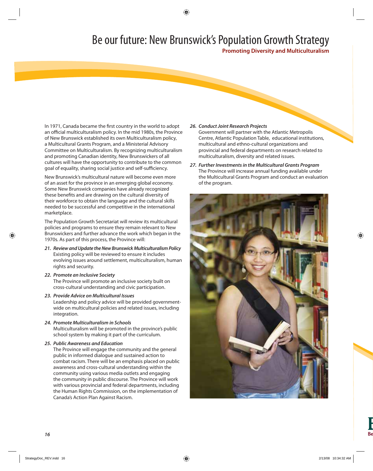**Promoting Diversity and Multiculturalism**

In 1971, Canada became the first country in the world to adopt an official multiculturalism policy. In the mid 1980s, the Province of New Brunswick established its own Multiculturalism policy, a Multicultural Grants Program, and a Ministerial Advisory Committee on Multiculturalism. By recognizing multiculturalism and promoting Canadian identity, New Brunswickers of all cultures will have the opportunity to contribute to the common goal of equality, sharing social justice and self-sufficiency.

New Brunswick's multicultural nature will become even more of an asset for the province in an emerging global economy. Some New Brunswick companies have already recognized these benefits and are drawing on the cultural diversity of their workforce to obtain the language and the cultural skills needed to be successful and competitive in the international marketplace.

The Population Growth Secretariat will review its multicultural policies and programs to ensure they remain relevant to New Brunswickers and further advance the work which began in the 1970s. As part of this process, the Province will:

- *21. Review and Update the New Brunswick Multiculturalism Policy* Existing policy will be reviewed to ensure it includes evolving issues around settlement, multiculturalism, human rights and security.
- *22. Promote an Inclusive Society*

The Province will promote an inclusive society built on cross-cultural understanding and civic participation.

*23. Provide Advice on Multicultural Issues*

Leadership and policy advice will be provided governmentwide on multicultural policies and related issues, including integration.

*24. Promote Multiculturalism in Schools* Multiculturalism will be promoted in the province's public school system by making it part of the curriculum.

*25. Public Awareness and Education*

The Province will engage the community and the general public in informed dialogue and sustained action to combat racism. There will be an emphasis placed on public awareness and cross-cultural understanding within the community using various media outlets and engaging the community in public discourse. The Province will work with various provincial and federal departments, including the Human Rights Commission, on the implementation of Canada's Action Plan Against Racism.

#### *26. Conduct Joint Research Projects*

Government will partner with the Atlantic Metropolis Centre, Atlantic Population Table, educational institutions, multicultural and ethno-cultural organizations and provincial and federal departments on research related to multiculturalism, diversity and related issues.

*27. Further Investments in the Multicultural Grants Program* The Province will increase annual funding available under the Multicultural Grants Program and conduct an evaluation of the program.

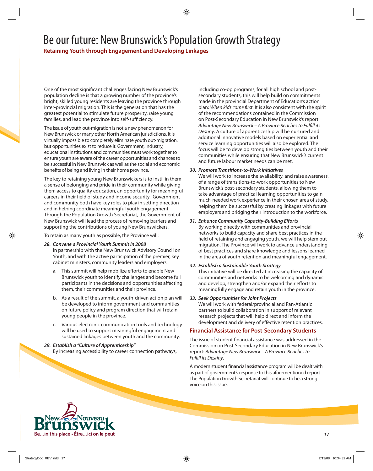**Retaining Youth through Engagement and Developing Linkages**

One of the most significant challenges facing New Brunswick's population decline is that a growing number of the province's bright, skilled young residents are leaving the province through inter-provincial migration. This is the generation that has the greatest potential to stimulate future prosperity, raise young families, and lead the province into self-sufficiency.

The issue of youth out-migration is not a new phenomenon for New Brunswick or many other North American jurisdictions. It is virtually impossible to completely eliminate youth out-migration, but opportunities exist to reduce it. Government, industry, educational institutions and communities must work together to ensure youth are aware of the career opportunities and chances to be successful in New Brunswick as well as the social and economic benefits of being and living in their home province.

The key to retaining young New Brunswickers is to instil in them a sense of belonging and pride in their community while giving them access to quality education, an opportunity for meaningful careers in their field of study and income security. Government and community both have key roles to play in setting direction and in helping coordinate meaningful youth engagement. Through the Population Growth Secretariat, the Government of New Brunswick will lead the process of removing barriers and supporting the contributions of young New Brunswickers.

To retain as many youth as possible, the Province will:

#### *28. Convene a Provincial Youth Summit in 2008*

In partnership with the New Brunswick Advisory Council on Youth, and with the active participation of the premier, key cabinet ministers, community leaders and employers.

- a. This summit will help mobilize efforts to enable New Brunswick youth to identify challenges and become full participants in the decisions and opportunities affecting them, their communities and their province.
- b. As a result of the summit, a youth-driven action plan will be developed to inform government and communities on future policy and program direction that will retain young people in the province.
- c. Various electronic communication tools and technology will be used to support meaningful engagement and sustained linkages between youth and the community.

#### *29. Establish a "Culture of Apprenticeship"*  By increasing accessibility to career connection pathways,

including co-op programs, for all high school and postsecondary students, this will help build on commitments made in the provincial Department of Education's action plan: When kids come first. It is also consistent with the spirit of the recommendations contained in the Commission on Post-Secondary Education in New Brunswick's report: Advantage New Brunswick – A Province Reaches to Fulfill its Destiny. A culture of apprenticeship will be nurtured and additional innovative models based on experiential and service learning opportunities will also be explored. The focus will be to develop strong ties between youth and their communities while ensuring that New Brunswick's current and future labour market needs can be met.

#### *30. Promote Transitions-to-Work initiatives*

We will work to increase the availability, and raise awareness, of a range of transitions-to-work opportunities to New Brunswick's post-secondary students, allowing them to take advantage of practical learning opportunities to gain much-needed work experience in their chosen area of study, helping them be successful by creating linkages with future employers and bridging their introduction to the workforce.

#### *31. Enhance Community Capacity-Building Efforts*

By working directly with communities and provincial networks to build capacity and share best practices in the field of retaining and engaging youth, we will help stem outmigration. The Province will work to advance understanding of best practices and share knowledge and lessons learned in the area of youth retention and meaningful engagement.

#### *32. Establish a Sustainable Youth Strategy*

This initiative will be directed at increasing the capacity of communities and networks to be welcoming and dynamic and develop, strengthen and/or expand their efforts to meaningfully engage and retain youth in the province.

#### *33. Seek Opportunities for Joint Projects*

We will work with federal/provincial and Pan-Atlantic partners to build collaboration in support of relevant research projects that will help direct and inform the development and delivery of effective retention practices.

#### **Financial Assistance for Post-Secondary Students**

The issue of student financial assistance was addressed in the Commission on Post-Secondary Education in New Brunswick's report: Advantage New Brunswick – A Province Reaches to Fulfill its Destiny.

A modern student financial assistance program will be dealt with as part of government's response to this aforementioned report. The Population Growth Secretariat will continue to be a strong voice on this issue.

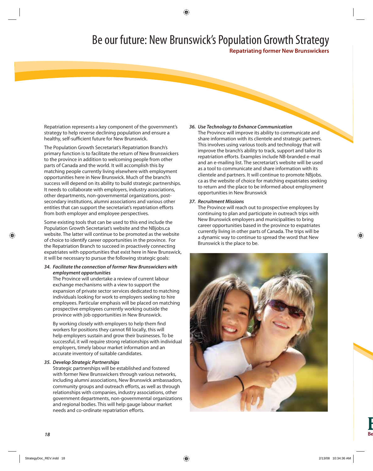**Repatriating former New Brunswickers**

Repatriation represents a key component of the government's strategy to help reverse declining population and ensure a healthy, self-sufficient future for New Brunswick.

The Population Growth Secretariat's Repatriation Branch's primary function is to facilitate the return of New Brunswickers to the province in addition to welcoming people from other parts of Canada and the world. It will accomplish this by matching people currently living elsewhere with employment opportunities here in New Brunswick. Much of the branch's success will depend on its ability to build strategic partnerships. It needs to collaborate with employers, industry associations, other departments, non-governmental organizations, postsecondary institutions, alumni associations and various other entities that can support the secretariat's repatriation efforts from both employer and employee perspectives.

Some existing tools that can be used to this end include the Population Growth Secretariat's website and the NBjobs.ca website. The latter will continue to be promoted as the website of choice to identify career opportunities in the province. For the Repatriation Branch to succeed in proactively connecting expatriates with opportunities that exist here in New Brunswick, it will be necessary to pursue the following strategic goals:

#### *34. Facilitate the connection of former New Brunswickers with employment opportunities*

The Province will undertake a review of current labour exchange mechanisms with a view to support the expansion of private sector services dedicated to matching individuals looking for work to employers seeking to hire employees. Particular emphasis will be placed on matching prospective employees currently working outside the province with job opportunities in New Brunswick.

By working closely with employers to help them find workers for positions they cannot fill locally, this will help employers sustain and grow their businesses. To be successful, it will require strong relationships with individual employers, timely labour market information and an accurate inventory of suitable candidates.

#### *35. Develop Strategic Partnerships*

Strategic partnerships will be established and fostered with former New Brunswickers through various networks, including alumni associations, New Brunswick ambassadors, community groups and outreach efforts, as well as through relationships with companies, industry associations, other government departments, non-governmental organizations and regional bodies. This will help gauge labour market needs and co-ordinate repatriation efforts.

#### *36. Use Technology to Enhance Communication*

The Province will improve its ability to communicate and share information with its clientele and strategic partners. This involves using various tools and technology that will improve the branch's ability to track, support and tailor its repatriation efforts. Examples include NB-branded e-mail and an e-mailing list. The secretariat's website will be used as a tool to communicate and share information with its clientele and partners. It will continue to promote NBjobs. ca as the website of choice for matching expatriates seeking to return and the place to be informed about employment opportunities in New Brunswick

#### *37. Recruitment Missions*

The Province will reach out to prospective employees by continuing to plan and participate in outreach trips with New Brunswick employers and municipalities to bring career opportunities based in the province to expatriates currently living in other parts of Canada. The trips will be a dynamic way to continue to spread the word that New Brunswick is the place to be.

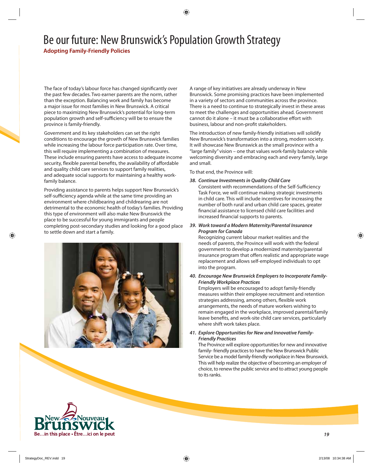**Adopting Family-Friendly Policies**

The face of today's labour force has changed significantly over the past few decades. Two earner parents are the norm, rather than the exception. Balancing work and family has become a major issue for most families in New Brunswick. A critical piece to maximizing New Brunswick's potential for long-term population growth and self-sufficiency will be to ensure the province is family-friendly.

Government and its key stakeholders can set the right conditions to encourage the growth of New Brunswick families while increasing the labour force participation rate. Over time, this will require implementing a combination of measures. These include ensuring parents have access to adequate income security, flexible parental benefits, the availability of affordable and quality child care services to support family realities, and adequate social supports for maintaining a healthy workfamily balance.

Providing assistance to parents helps support New Brunswick's self-sufficiency agenda while at the same time providing an environment where childbearing and childrearing are not detrimental to the economic health of today's families. Providing this type of environment will also make New Brunswick the place to be successful for young immigrants and people completing post-secondary studies and looking for a good place to settle down and start a family.



A range of key initiatives are already underway in New Brunswick. Some promising practices have been implemented in a variety of sectors and communities across the province. There is a need to continue to strategically invest in these areas to meet the challenges and opportunities ahead. Government cannot do it alone – it must be a collaborative effort with business, labour and non-profit stakeholders.

The introduction of new family-friendly initiatives will solidify New Brunswick's transformation into a strong, modern society. It will showcase New Brunswick as the small province with a "large family" vision – one that values work-family balance while welcoming diversity and embracing each and every family, large and small.

To that end, the Province will:

*38. Continue Investments in Quality Child Care* 

Consistent with recommendations of the Self-Sufficiency Task Force, we will continue making strategic investments in child care. This will include incentives for increasing the number of both rural and urban child care spaces, greater financial assistance to licensed child care facilities and increased financial supports to parents.

*39. Work toward a Modern Maternity/Parental Insurance Program for Canada*

Recognizing current labour market realities and the needs of parents, the Province will work with the federal government to develop a modernized maternity/parental insurance program that offers realistic and appropriate wage replacement and allows self-employed individuals to opt into the program.

*40. Encourage New Brunswick Employers to Incorporate Family-Friendly Workplace Practices*

Employers will be encouraged to adopt family-friendly measures within their employee recruitment and retention strategies addressing, among others, flexible work arrangements, the needs of mature workers wishing to remain engaged in the workplace, improved parental/family leave benefits, and work-site child care services, particularly where shift work takes place.

*41. Explore Opportunities for New and Innovative Family-Friendly Practices* 

The Province will explore opportunities for new and innovative family- friendly practices to have the New Brunswick Public Service be a model family-friendly workplace in New Brunswick. This will help realize the objective of becoming an employer of choice, to renew the public service and to attract young people to its ranks.

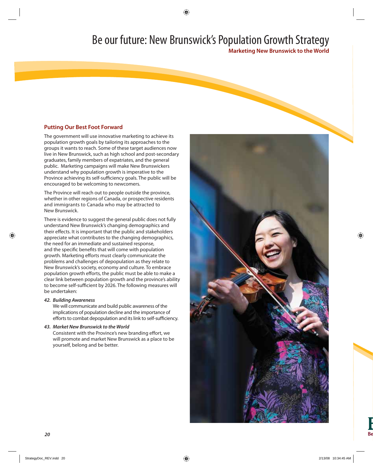**Marketing New Brunswick to the World**

#### **Putting Our Best Foot Forward**

The government will use innovative marketing to achieve its population growth goals by tailoring its approaches to the groups it wants to reach. Some of these target audiences now live in New Brunswick, such as high school and post-secondary graduates, family members of expatriates, and the general public. Marketing campaigns will make New Brunswickers understand why population growth is imperative to the Province achieving its self-sufficiency goals. The public will be encouraged to be welcoming to newcomers.

The Province will reach out to people outside the province, whether in other regions of Canada, or prospective residents and immigrants to Canada who may be attracted to New Brunswick.

There is evidence to suggest the general public does not fully understand New Brunswick's changing demographics and their effects. It is important that the public and stakeholders appreciate what contributes to the changing demographics, the need for an immediate and sustained response, and the specific benefits that will come with population growth. Marketing efforts must clearly communicate the problems and challenges of depopulation as they relate to New Brunswick's society, economy and culture. To embrace population growth efforts, the public must be able to make a clear link between population growth and the province's ability to become self-sufficient by 2026. The following measures will be undertaken:

#### *42. Building Awareness*

We will communicate and build public awareness of the implications of population decline and the importance of efforts to combat depopulation and its link to self-sufficiency.

#### *43. Market New Brunswick to the World*

Consistent with the Province's new branding effort, we will promote and market New Brunswick as a place to be yourself, belong and be better.